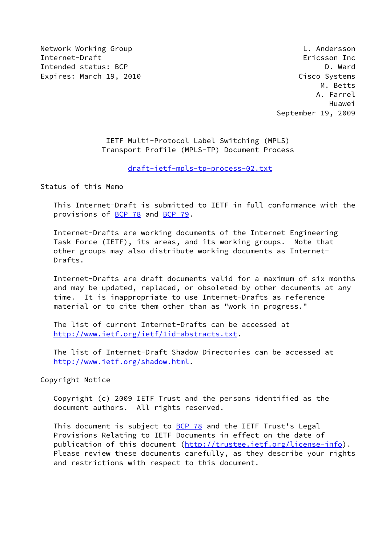Network Working Group **Letter Controller Controller** L. Andersson Internet-Draft Ericsson Inc Intended status: BCP D. Ward D. Ward D. Ward D. Ward D. Ward D. Ward D. Ward D. Ward D. Ward D. Ward D. Ward D Expires: March 19, 2010 **Cisco Systems** 

 M. Betts A. Farrel Huawei September 19, 2009

> IETF Multi-Protocol Label Switching (MPLS) Transport Profile (MPLS-TP) Document Process

> > [draft-ietf-mpls-tp-process-02.txt](https://datatracker.ietf.org/doc/pdf/draft-ietf-mpls-tp-process-02.txt)

Status of this Memo

 This Internet-Draft is submitted to IETF in full conformance with the provisions of [BCP 78](https://datatracker.ietf.org/doc/pdf/bcp78) and [BCP 79](https://datatracker.ietf.org/doc/pdf/bcp79).

 Internet-Drafts are working documents of the Internet Engineering Task Force (IETF), its areas, and its working groups. Note that other groups may also distribute working documents as Internet- Drafts.

 Internet-Drafts are draft documents valid for a maximum of six months and may be updated, replaced, or obsoleted by other documents at any time. It is inappropriate to use Internet-Drafts as reference material or to cite them other than as "work in progress."

 The list of current Internet-Drafts can be accessed at <http://www.ietf.org/ietf/1id-abstracts.txt>.

 The list of Internet-Draft Shadow Directories can be accessed at <http://www.ietf.org/shadow.html>.

Copyright Notice

 Copyright (c) 2009 IETF Trust and the persons identified as the document authors. All rights reserved.

This document is subject to **[BCP 78](https://datatracker.ietf.org/doc/pdf/bcp78)** and the IETF Trust's Legal Provisions Relating to IETF Documents in effect on the date of publication of this document [\(http://trustee.ietf.org/license-info](http://trustee.ietf.org/license-info)). Please review these documents carefully, as they describe your rights and restrictions with respect to this document.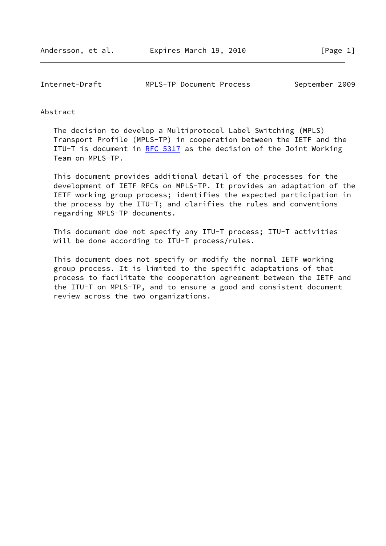Internet-Draft MPLS-TP Document Process September 2009

#### Abstract

 The decision to develop a Multiprotocol Label Switching (MPLS) Transport Profile (MPLS-TP) in cooperation between the IETF and the ITU-T is document in RFC  $5317$  as the decision of the Joint Working Team on MPLS-TP.

 This document provides additional detail of the processes for the development of IETF RFCs on MPLS-TP. It provides an adaptation of the IETF working group process; identifies the expected participation in the process by the ITU-T; and clarifies the rules and conventions regarding MPLS-TP documents.

 This document doe not specify any ITU-T process; ITU-T activities will be done according to ITU-T process/rules.

 This document does not specify or modify the normal IETF working group process. It is limited to the specific adaptations of that process to facilitate the cooperation agreement between the IETF and the ITU-T on MPLS-TP, and to ensure a good and consistent document review across the two organizations.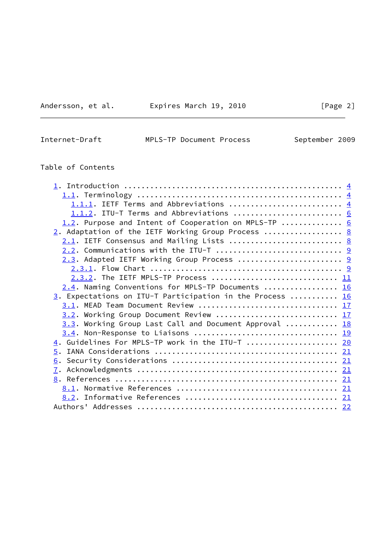Andersson, et al. **Expires March 19, 2010**[Page 2]

| Internet-Draft |
|----------------|
|----------------|

MPLS-TP Document Process September 2009

# Table of Contents

| 1.1.1. IETF Terms and Abbreviations  4                    |  |
|-----------------------------------------------------------|--|
| 1.1.2. ITU-T Terms and Abbreviations  6                   |  |
| 1.2. Purpose and Intent of Cooperation on MPLS-TP $6$     |  |
| 2. Adaptation of the IETF Working Group Process  8        |  |
|                                                           |  |
| 2.2. Communications with the ITU-T  9                     |  |
| 2.3. Adapted IETF Working Group Process  9                |  |
|                                                           |  |
| 2.3.2. The IETF MPLS-TP Process  11                       |  |
| 2.4. Naming Conventions for MPLS-TP Documents  16         |  |
| 3. Expectations on ITU-T Participation in the Process  16 |  |
|                                                           |  |
| 3.2. Working Group Document Review  17                    |  |
| 3.3. Working Group Last Call and Document Approval  18    |  |
|                                                           |  |
| 4. Guidelines For MPLS-TP work in the ITU-T  20           |  |
|                                                           |  |
|                                                           |  |
|                                                           |  |
|                                                           |  |
|                                                           |  |
|                                                           |  |
|                                                           |  |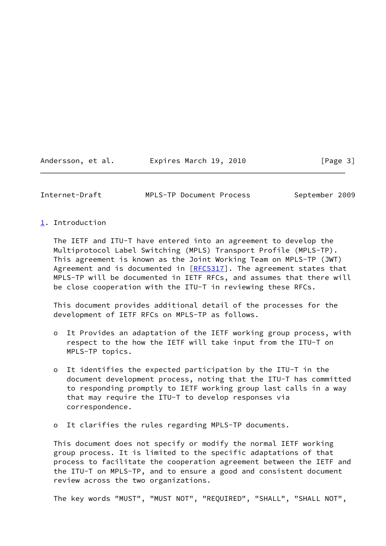Andersson, et al. Expires March 19, 2010 [Page 3]

<span id="page-3-1"></span>Internet-Draft MPLS-TP Document Process September 2009

# <span id="page-3-0"></span>[1](#page-3-0). Introduction

 The IETF and ITU-T have entered into an agreement to develop the Multiprotocol Label Switching (MPLS) Transport Profile (MPLS-TP). This agreement is known as the Joint Working Team on MPLS-TP (JWT) Agreement and is documented in  $[REC5317]$ . The agreement states that MPLS-TP will be documented in IETF RFCs, and assumes that there will be close cooperation with the ITU-T in reviewing these RFCs.

 This document provides additional detail of the processes for the development of IETF RFCs on MPLS-TP as follows.

- o It Provides an adaptation of the IETF working group process, with respect to the how the IETF will take input from the ITU-T on MPLS-TP topics.
- o It identifies the expected participation by the ITU-T in the document development process, noting that the ITU-T has committed to responding promptly to IETF working group last calls in a way that may require the ITU-T to develop responses via correspondence.
- o It clarifies the rules regarding MPLS-TP documents.

 This document does not specify or modify the normal IETF working group process. It is limited to the specific adaptations of that process to facilitate the cooperation agreement between the IETF and the ITU-T on MPLS-TP, and to ensure a good and consistent document review across the two organizations.

The key words "MUST", "MUST NOT", "REQUIRED", "SHALL", "SHALL NOT",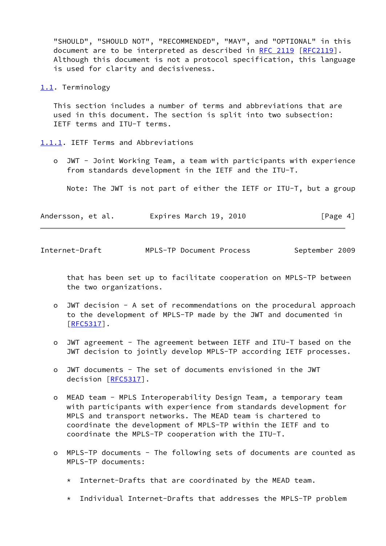"SHOULD", "SHOULD NOT", "RECOMMENDED", "MAY", and "OPTIONAL" in this document are to be interpreted as described in [RFC 2119 \[RFC2119](https://datatracker.ietf.org/doc/pdf/rfc2119)]. Although this document is not a protocol specification, this language is used for clarity and decisiveness.

<span id="page-4-0"></span>[1.1](#page-4-0). Terminology

 This section includes a number of terms and abbreviations that are used in this document. The section is split into two subsection: IETF terms and ITU-T terms.

<span id="page-4-1"></span>[1.1.1](#page-4-1). IETF Terms and Abbreviations

 o JWT - Joint Working Team, a team with participants with experience from standards development in the IETF and the ITU-T.

Note: The JWT is not part of either the IETF or ITU-T, but a group

| Andersson, et al. | Expires March 19, 2010 | [Page 4] |
|-------------------|------------------------|----------|
|-------------------|------------------------|----------|

Internet-Draft MPLS-TP Document Process September 2009

 that has been set up to facilitate cooperation on MPLS-TP between the two organizations.

- o JWT decision A set of recommendations on the procedural approach to the development of MPLS-TP made by the JWT and documented in [[RFC5317\]](https://datatracker.ietf.org/doc/pdf/rfc5317).
- o JWT agreement The agreement between IETF and ITU-T based on the JWT decision to jointly develop MPLS-TP according IETF processes.
- o JWT documents The set of documents envisioned in the JWT decision [\[RFC5317](https://datatracker.ietf.org/doc/pdf/rfc5317)].
- o MEAD team MPLS Interoperability Design Team, a temporary team with participants with experience from standards development for MPLS and transport networks. The MEAD team is chartered to coordinate the development of MPLS-TP within the IETF and to coordinate the MPLS-TP cooperation with the ITU-T.
- o MPLS-TP documents The following sets of documents are counted as MPLS-TP documents:
	- \* Internet-Drafts that are coordinated by the MEAD team.
	- \* Individual Internet-Drafts that addresses the MPLS-TP problem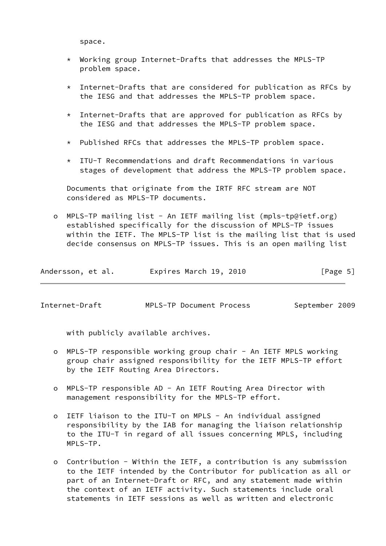space.

- \* Working group Internet-Drafts that addresses the MPLS-TP problem space.
- $*$  Internet-Drafts that are considered for publication as RFCs by the IESG and that addresses the MPLS-TP problem space.
- $*$  Internet-Drafts that are approved for publication as RFCs by the IESG and that addresses the MPLS-TP problem space.
- \* Published RFCs that addresses the MPLS-TP problem space.
- \* ITU-T Recommendations and draft Recommendations in various stages of development that address the MPLS-TP problem space.

 Documents that originate from the IRTF RFC stream are NOT considered as MPLS-TP documents.

 o MPLS-TP mailing list - An IETF mailing list (mpls-tp@ietf.org) established specifically for the discussion of MPLS-TP issues within the IETF. The MPLS-TP list is the mailing list that is used decide consensus on MPLS-TP issues. This is an open mailing list

| Andersson, et al. | Expires March 19, 2010 |  | [Page 5] |
|-------------------|------------------------|--|----------|
|-------------------|------------------------|--|----------|

<span id="page-5-0"></span>Internet-Draft MPLS-TP Document Process September 2009

with publicly available archives.

- o MPLS-TP responsible working group chair An IETF MPLS working group chair assigned responsibility for the IETF MPLS-TP effort by the IETF Routing Area Directors.
- o MPLS-TP responsible AD An IETF Routing Area Director with management responsibility for the MPLS-TP effort.
- o IETF liaison to the ITU-T on MPLS An individual assigned responsibility by the IAB for managing the liaison relationship to the ITU-T in regard of all issues concerning MPLS, including MPLS-TP.
- o Contribution Within the IETF, a contribution is any submission to the IETF intended by the Contributor for publication as all or part of an Internet-Draft or RFC, and any statement made within the context of an IETF activity. Such statements include oral statements in IETF sessions as well as written and electronic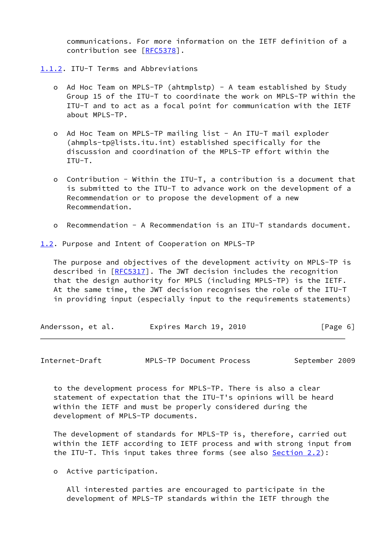communications. For more information on the IETF definition of a contribution see [\[RFC5378](https://datatracker.ietf.org/doc/pdf/rfc5378)].

<span id="page-6-0"></span>[1.1.2](#page-6-0). ITU-T Terms and Abbreviations

- o Ad Hoc Team on MPLS-TP (ahtmplstp) A team established by Study Group 15 of the ITU-T to coordinate the work on MPLS-TP within the ITU-T and to act as a focal point for communication with the IETF about MPLS-TP.
- o Ad Hoc Team on MPLS-TP mailing list An ITU-T mail exploder (ahmpls-tp@lists.itu.int) established specifically for the discussion and coordination of the MPLS-TP effort within the ITU-T.
- o Contribution Within the ITU-T, a contribution is a document that is submitted to the ITU-T to advance work on the development of a Recommendation or to propose the development of a new Recommendation.
- o Recommendation A Recommendation is an ITU-T standards document.

<span id="page-6-1"></span>[1.2](#page-6-1). Purpose and Intent of Cooperation on MPLS-TP

 The purpose and objectives of the development activity on MPLS-TP is described in [\[RFC5317](https://datatracker.ietf.org/doc/pdf/rfc5317)]. The JWT decision includes the recognition that the design authority for MPLS (including MPLS-TP) is the IETF. At the same time, the JWT decision recognises the role of the ITU-T in providing input (especially input to the requirements statements)

| Andersson, et al. | Expires March 19, 2010 | [Page 6] |
|-------------------|------------------------|----------|
|-------------------|------------------------|----------|

Internet-Draft MPLS-TP Document Process September 2009

 to the development process for MPLS-TP. There is also a clear statement of expectation that the ITU-T's opinions will be heard within the IETF and must be properly considered during the development of MPLS-TP documents.

 The development of standards for MPLS-TP is, therefore, carried out within the IETF according to IETF process and with strong input from the ITU-T. This input takes three forms (see also [Section 2.2](#page-8-2)):

o Active participation.

 All interested parties are encouraged to participate in the development of MPLS-TP standards within the IETF through the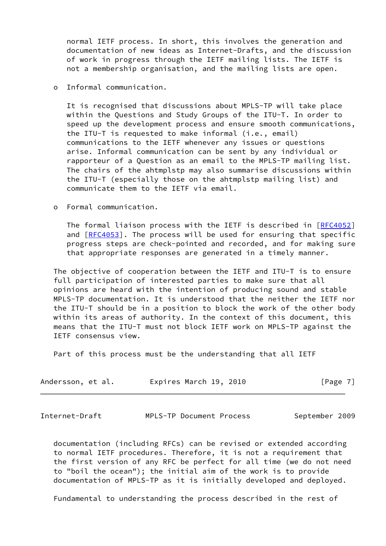normal IETF process. In short, this involves the generation and documentation of new ideas as Internet-Drafts, and the discussion of work in progress through the IETF mailing lists. The IETF is not a membership organisation, and the mailing lists are open.

o Informal communication.

 It is recognised that discussions about MPLS-TP will take place within the Questions and Study Groups of the ITU-T. In order to speed up the development process and ensure smooth communications, the ITU-T is requested to make informal (i.e., email) communications to the IETF whenever any issues or questions arise. Informal communication can be sent by any individual or rapporteur of a Question as an email to the MPLS-TP mailing list. The chairs of the ahtmplstp may also summarise discussions within the ITU-T (especially those on the ahtmplstp mailing list) and communicate them to the IETF via email.

o Formal communication.

The formal liaison process with the IETF is described in [\[RFC4052](https://datatracker.ietf.org/doc/pdf/rfc4052)] and  $[RFC4053]$  $[RFC4053]$ . The process will be used for ensuring that specific progress steps are check-pointed and recorded, and for making sure that appropriate responses are generated in a timely manner.

 The objective of cooperation between the IETF and ITU-T is to ensure full participation of interested parties to make sure that all opinions are heard with the intention of producing sound and stable MPLS-TP documentation. It is understood that the neither the IETF nor the ITU-T should be in a position to block the work of the other body within its areas of authority. In the context of this document, this means that the ITU-T must not block IETF work on MPLS-TP against the IETF consensus view.

Part of this process must be the understanding that all IETF

| Andersson, et al. | Expires March 19, 2010 | [Page 7] |
|-------------------|------------------------|----------|
|-------------------|------------------------|----------|

<span id="page-7-0"></span>Internet-Draft MPLS-TP Document Process September 2009

 documentation (including RFCs) can be revised or extended according to normal IETF procedures. Therefore, it is not a requirement that the first version of any RFC be perfect for all time (we do not need to "boil the ocean"); the initial aim of the work is to provide documentation of MPLS-TP as it is initially developed and deployed.

Fundamental to understanding the process described in the rest of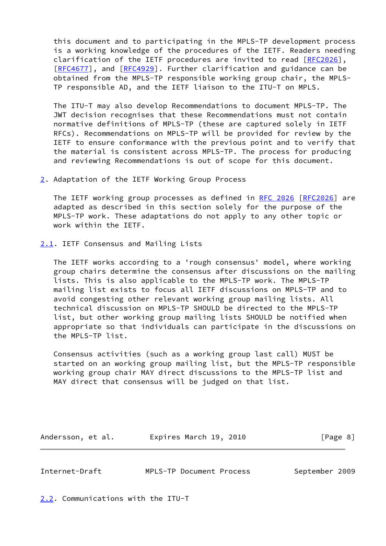this document and to participating in the MPLS-TP development process is a working knowledge of the procedures of the IETF. Readers needing clarification of the IETF procedures are invited to read [\[RFC2026](https://datatracker.ietf.org/doc/pdf/rfc2026)], [\[RFC4677](https://datatracker.ietf.org/doc/pdf/rfc4677)], and [\[RFC4929](https://datatracker.ietf.org/doc/pdf/rfc4929)]. Further clarification and guidance can be obtained from the MPLS-TP responsible working group chair, the MPLS- TP responsible AD, and the IETF liaison to the ITU-T on MPLS.

 The ITU-T may also develop Recommendations to document MPLS-TP. The JWT decision recognises that these Recommendations must not contain normative definitions of MPLS-TP (these are captured solely in IETF RFCs). Recommendations on MPLS-TP will be provided for review by the IETF to ensure conformance with the previous point and to verify that the material is consistent across MPLS-TP. The process for producing and reviewing Recommendations is out of scope for this document.

<span id="page-8-0"></span>[2](#page-8-0). Adaptation of the IETF Working Group Process

 The IETF working group processes as defined in [RFC 2026 \[RFC2026](https://datatracker.ietf.org/doc/pdf/rfc2026)] are adapted as described in this section solely for the purpose of the MPLS-TP work. These adaptations do not apply to any other topic or work within the IETF.

<span id="page-8-1"></span>[2.1](#page-8-1). IETF Consensus and Mailing Lists

 The IETF works according to a 'rough consensus' model, where working group chairs determine the consensus after discussions on the mailing lists. This is also applicable to the MPLS-TP work. The MPLS-TP mailing list exists to focus all IETF discussions on MPLS-TP and to avoid congesting other relevant working group mailing lists. All technical discussion on MPLS-TP SHOULD be directed to the MPLS-TP list, but other working group mailing lists SHOULD be notified when appropriate so that individuals can participate in the discussions on the MPLS-TP list.

 Consensus activities (such as a working group last call) MUST be started on an working group mailing list, but the MPLS-TP responsible working group chair MAY direct discussions to the MPLS-TP list and MAY direct that consensus will be judged on that list.

Andersson, et al. **Expires March 19, 2010** [Page 8]

<span id="page-8-3"></span>Internet-Draft MPLS-TP Document Process September 2009

<span id="page-8-2"></span>[2.2](#page-8-2). Communications with the ITU-T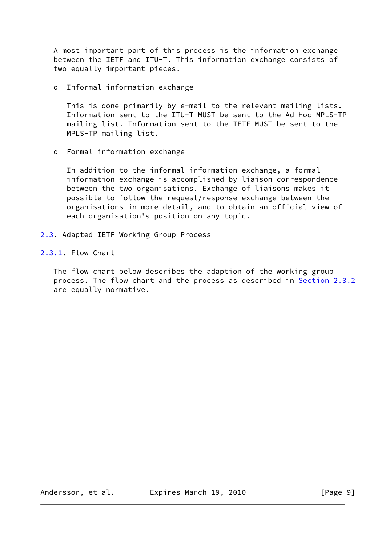A most important part of this process is the information exchange between the IETF and ITU-T. This information exchange consists of two equally important pieces.

o Informal information exchange

 This is done primarily by e-mail to the relevant mailing lists. Information sent to the ITU-T MUST be sent to the Ad Hoc MPLS-TP mailing list. Information sent to the IETF MUST be sent to the MPLS-TP mailing list.

o Formal information exchange

 In addition to the informal information exchange, a formal information exchange is accomplished by liaison correspondence between the two organisations. Exchange of liaisons makes it possible to follow the request/response exchange between the organisations in more detail, and to obtain an official view of each organisation's position on any topic.

<span id="page-9-0"></span>[2.3](#page-9-0). Adapted IETF Working Group Process

<span id="page-9-1"></span>[2.3.1](#page-9-1). Flow Chart

 The flow chart below describes the adaption of the working group process. The flow chart and the process as described in [Section 2.3.2](#page-11-0) are equally normative.

Andersson, et al. Expires March 19, 2010 [Page 9]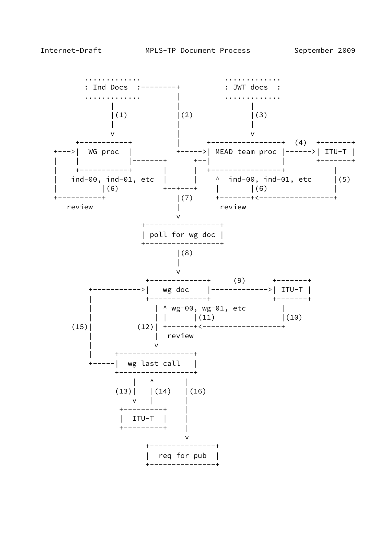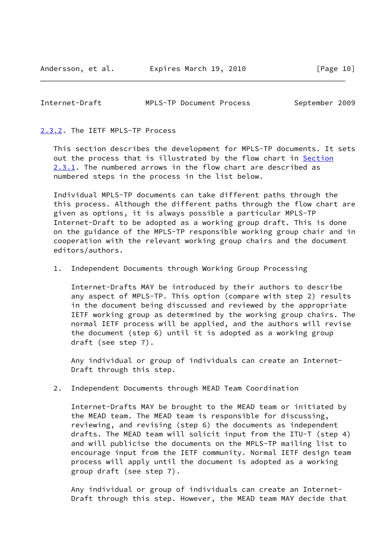#### <span id="page-11-1"></span>Internet-Draft MPLS-TP Document Process September 2009

### <span id="page-11-0"></span>[2.3.2](#page-11-0). The IETF MPLS-TP Process

 This section describes the development for MPLS-TP documents. It sets out the process that is illustrated by the flow chart in [Section](#page-9-1) [2.3.1](#page-9-1). The numbered arrows in the flow chart are described as numbered steps in the process in the list below.

 Individual MPLS-TP documents can take different paths through the this process. Although the different paths through the flow chart are given as options, it is always possible a particular MPLS-TP Internet-Draft to be adopted as a working group draft. This is done on the guidance of the MPLS-TP responsible working group chair and in cooperation with the relevant working group chairs and the document editors/authors.

#### 1. Independent Documents through Working Group Processing

 Internet-Drafts MAY be introduced by their authors to describe any aspect of MPLS-TP. This option (compare with step 2) results in the document being discussed and reviewed by the appropriate IETF working group as determined by the working group chairs. The normal IETF process will be applied, and the authors will revise the document (step 6) until it is adopted as a working group draft (see step 7).

 Any individual or group of individuals can create an Internet- Draft through this step.

2. Independent Documents through MEAD Team Coordination

 Internet-Drafts MAY be brought to the MEAD team or initiated by the MEAD team. The MEAD team is responsible for discussing, reviewing, and revising (step 6) the documents as independent drafts. The MEAD team will solicit input from the ITU-T (step 4) and will publicise the documents on the MPLS-TP mailing list to encourage input from the IETF community. Normal IETF design team process will apply until the document is adopted as a working group draft (see step 7).

 Any individual or group of individuals can create an Internet- Draft through this step. However, the MEAD team MAY decide that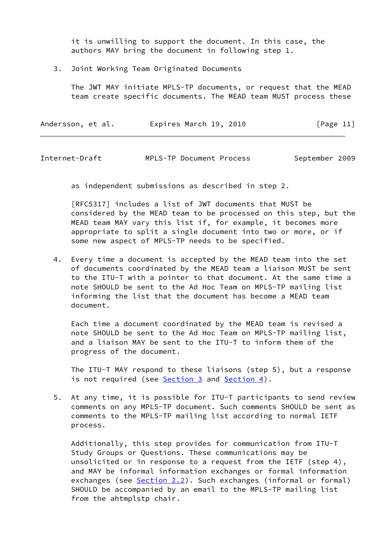it is unwilling to support the document. In this case, the authors MAY bring the document in following step 1.

3. Joint Working Team Originated Documents

 The JWT MAY initiate MPLS-TP documents, or request that the MEAD team create specific documents. The MEAD team MUST process these

| Andersson, et al. | Expires March 19, 2010 | [Page 11] |
|-------------------|------------------------|-----------|
|-------------------|------------------------|-----------|

Internet-Draft MPLS-TP Document Process September 2009

as independent submissions as described in step 2.

 [RFC5317] includes a list of JWT documents that MUST be considered by the MEAD team to be processed on this step, but the MEAD team MAY vary this list if, for example, it becomes more appropriate to split a single document into two or more, or if some new aspect of MPLS-TP needs to be specified.

 4. Every time a document is accepted by the MEAD team into the set of documents coordinated by the MEAD team a liaison MUST be sent to the ITU-T with a pointer to that document. At the same time a note SHOULD be sent to the Ad Hoc Team on MPLS-TP mailing list informing the list that the document has become a MEAD team document.

 Each time a document coordinated by the MEAD team is revised a note SHOULD be sent to the Ad Hoc Team on MPLS-TP mailing list, and a liaison MAY be sent to the ITU-T to inform them of the progress of the document.

 The ITU-T MAY respond to these liaisons (step 5), but a response is not required (see [Section 3](#page-17-0) and [Section 4\)](#page-21-1).

 5. At any time, it is possible for ITU-T participants to send review comments on any MPLS-TP document. Such comments SHOULD be sent as comments to the MPLS-TP mailing list according to normal IETF process.

 Additionally, this step provides for communication from ITU-T Study Groups or Questions. These communications may be unsolicited or in response to a request from the IETF (step 4), and MAY be informal information exchanges or formal information exchanges (see [Section 2.2](#page-8-2)). Such exchanges (informal or formal) SHOULD be accompanied by an email to the MPLS-TP mailing list from the ahtmplstp chair.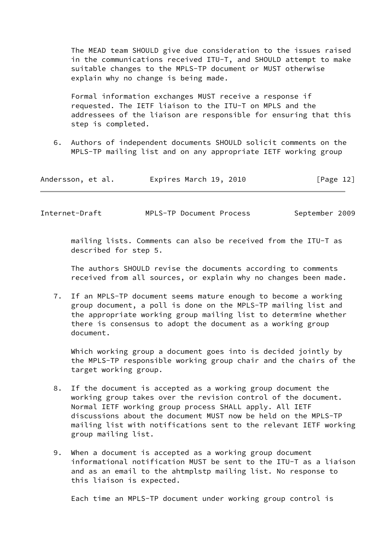The MEAD team SHOULD give due consideration to the issues raised in the communications received ITU-T, and SHOULD attempt to make suitable changes to the MPLS-TP document or MUST otherwise explain why no change is being made.

 Formal information exchanges MUST receive a response if requested. The IETF liaison to the ITU-T on MPLS and the addressees of the liaison are responsible for ensuring that this step is completed.

 6. Authors of independent documents SHOULD solicit comments on the MPLS-TP mailing list and on any appropriate IETF working group

| Andersson, et al. | Expires March 19, 2010 | [Page 12] |
|-------------------|------------------------|-----------|
|-------------------|------------------------|-----------|

Internet-Draft MPLS-TP Document Process September 2009

 mailing lists. Comments can also be received from the ITU-T as described for step 5.

 The authors SHOULD revise the documents according to comments received from all sources, or explain why no changes been made.

 7. If an MPLS-TP document seems mature enough to become a working group document, a poll is done on the MPLS-TP mailing list and the appropriate working group mailing list to determine whether there is consensus to adopt the document as a working group document.

 Which working group a document goes into is decided jointly by the MPLS-TP responsible working group chair and the chairs of the target working group.

- 8. If the document is accepted as a working group document the working group takes over the revision control of the document. Normal IETF working group process SHALL apply. All IETF discussions about the document MUST now be held on the MPLS-TP mailing list with notifications sent to the relevant IETF working group mailing list.
- 9. When a document is accepted as a working group document informational notification MUST be sent to the ITU-T as a liaison and as an email to the ahtmplstp mailing list. No response to this liaison is expected.

Each time an MPLS-TP document under working group control is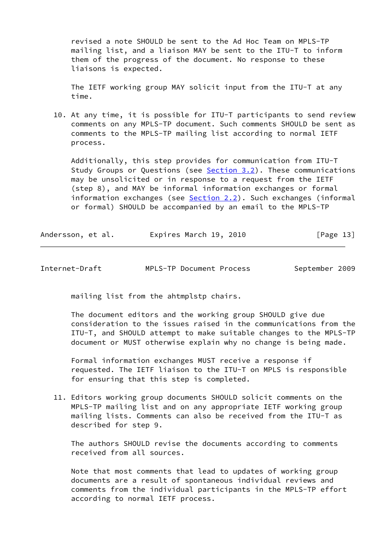revised a note SHOULD be sent to the Ad Hoc Team on MPLS-TP mailing list, and a liaison MAY be sent to the ITU-T to inform them of the progress of the document. No response to these liaisons is expected.

 The IETF working group MAY solicit input from the ITU-T at any time.

 10. At any time, it is possible for ITU-T participants to send review comments on any MPLS-TP document. Such comments SHOULD be sent as comments to the MPLS-TP mailing list according to normal IETF process.

 Additionally, this step provides for communication from ITU-T Study Groups or Questions (see [Section 3.2](#page-18-1)). These communications may be unsolicited or in response to a request from the IETF (step 8), and MAY be informal information exchanges or formal information exchanges (see [Section 2.2](#page-8-2)). Such exchanges (informal or formal) SHOULD be accompanied by an email to the MPLS-TP

Andersson, et al. **Expires March 19, 2010**[Page 13]

Internet-Draft MPLS-TP Document Process September 2009

mailing list from the ahtmplstp chairs.

 The document editors and the working group SHOULD give due consideration to the issues raised in the communications from the ITU-T, and SHOULD attempt to make suitable changes to the MPLS-TP document or MUST otherwise explain why no change is being made.

 Formal information exchanges MUST receive a response if requested. The IETF liaison to the ITU-T on MPLS is responsible for ensuring that this step is completed.

 11. Editors working group documents SHOULD solicit comments on the MPLS-TP mailing list and on any appropriate IETF working group mailing lists. Comments can also be received from the ITU-T as described for step 9.

 The authors SHOULD revise the documents according to comments received from all sources.

 Note that most comments that lead to updates of working group documents are a result of spontaneous individual reviews and comments from the individual participants in the MPLS-TP effort according to normal IETF process.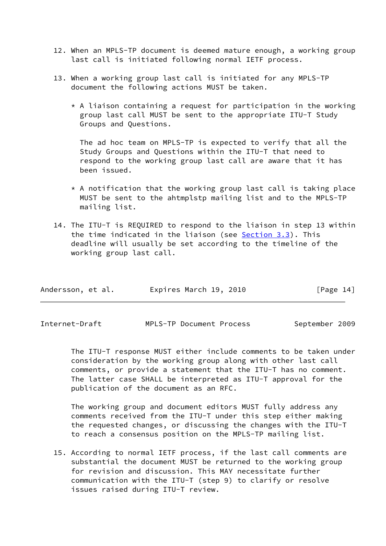- 12. When an MPLS-TP document is deemed mature enough, a working group last call is initiated following normal IETF process.
- 13. When a working group last call is initiated for any MPLS-TP document the following actions MUST be taken.
	- \* A liaison containing a request for participation in the working group last call MUST be sent to the appropriate ITU-T Study Groups and Questions.

 The ad hoc team on MPLS-TP is expected to verify that all the Study Groups and Questions within the ITU-T that need to respond to the working group last call are aware that it has been issued.

- \* A notification that the working group last call is taking place MUST be sent to the ahtmplstp mailing list and to the MPLS-TP mailing list.
- 14. The ITU-T is REQUIRED to respond to the liaison in step 13 within the time indicated in the liaison (see [Section 3.3](#page-19-0)). This deadline will usually be set according to the timeline of the working group last call.

| Expires March 19, 2010<br>Andersson, et al. |  |  |  | [Page 14] |
|---------------------------------------------|--|--|--|-----------|
|---------------------------------------------|--|--|--|-----------|

| Internet-Draft | MPLS-TP Document Process | September 2009 |
|----------------|--------------------------|----------------|
|----------------|--------------------------|----------------|

 The ITU-T response MUST either include comments to be taken under consideration by the working group along with other last call comments, or provide a statement that the ITU-T has no comment. The latter case SHALL be interpreted as ITU-T approval for the publication of the document as an RFC.

 The working group and document editors MUST fully address any comments received from the ITU-T under this step either making the requested changes, or discussing the changes with the ITU-T to reach a consensus position on the MPLS-TP mailing list.

 15. According to normal IETF process, if the last call comments are substantial the document MUST be returned to the working group for revision and discussion. This MAY necessitate further communication with the ITU-T (step 9) to clarify or resolve issues raised during ITU-T review.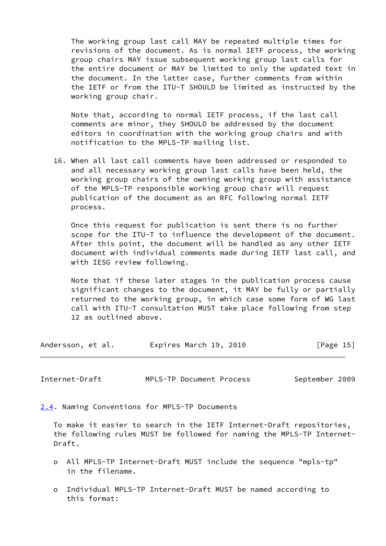The working group last call MAY be repeated multiple times for revisions of the document. As is normal IETF process, the working group chairs MAY issue subsequent working group last calls for the entire document or MAY be limited to only the updated text in the document. In the latter case, further comments from within the IETF or from the ITU-T SHOULD be limited as instructed by the working group chair.

 Note that, according to normal IETF process, if the last call comments are minor, they SHOULD be addressed by the document editors in coordination with the working group chairs and with notification to the MPLS-TP mailing list.

 16. When all last call comments have been addressed or responded to and all necessary working group last calls have been held, the working group chairs of the owning working group with assistance of the MPLS-TP responsible working group chair will request publication of the document as an RFC following normal IETF process.

 Once this request for publication is sent there is no further scope for the ITU-T to influence the development of the document. After this point, the document will be handled as any other IETF document with individual comments made during IETF last call, and with IESG review following.

 Note that if these later stages in the publication process cause significant changes to the document, it MAY be fully or partially returned to the working group, in which case some form of WG last call with ITU-T consultation MUST take place following from step 12 as outlined above.

| Andersson, et al. | Expires March 19, 2010 | [Page 15] |
|-------------------|------------------------|-----------|
|-------------------|------------------------|-----------|

<span id="page-16-1"></span>Internet-Draft MPLS-TP Document Process September 2009

<span id="page-16-0"></span>[2.4](#page-16-0). Naming Conventions for MPLS-TP Documents

 To make it easier to search in the IETF Internet-Draft repositories, the following rules MUST be followed for naming the MPLS-TP Internet- Draft.

- o All MPLS-TP Internet-Draft MUST include the sequence "mpls-tp" in the filename.
- o Individual MPLS-TP Internet-Draft MUST be named according to this format: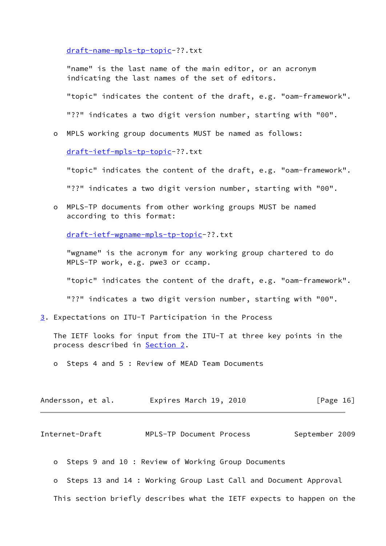[draft-name-mpls-tp-topic-](https://datatracker.ietf.org/doc/pdf/draft-name-mpls-tp-topic)??.txt

 "name" is the last name of the main editor, or an acronym indicating the last names of the set of editors.

"topic" indicates the content of the draft, e.g. "oam-framework".

"??" indicates a two digit version number, starting with "00".

o MPLS working group documents MUST be named as follows:

[draft-ietf-mpls-tp-topic-](https://datatracker.ietf.org/doc/pdf/draft-ietf-mpls-tp-topic)??.txt

"topic" indicates the content of the draft, e.g. "oam-framework".

"??" indicates a two digit version number, starting with "00".

 o MPLS-TP documents from other working groups MUST be named according to this format:

[draft-ietf-wgname-mpls-tp-topic](https://datatracker.ietf.org/doc/pdf/draft-ietf-wgname-mpls-tp-topic)-??.txt

 "wgname" is the acronym for any working group chartered to do MPLS-TP work, e.g. pwe3 or ccamp.

"topic" indicates the content of the draft, e.g. "oam-framework".

"??" indicates a two digit version number, starting with "00".

<span id="page-17-0"></span>[3](#page-17-0). Expectations on ITU-T Participation in the Process

 The IETF looks for input from the ITU-T at three key points in the process described in [Section 2](#page-8-0).

o Steps 4 and 5 : Review of MEAD Team Documents

| Andersson, et al. | Expires March 19, 2010 | [Page 16] |
|-------------------|------------------------|-----------|
|-------------------|------------------------|-----------|

<span id="page-17-1"></span>Internet-Draft MPLS-TP Document Process September 2009

o Steps 9 and 10 : Review of Working Group Documents

o Steps 13 and 14 : Working Group Last Call and Document Approval

This section briefly describes what the IETF expects to happen on the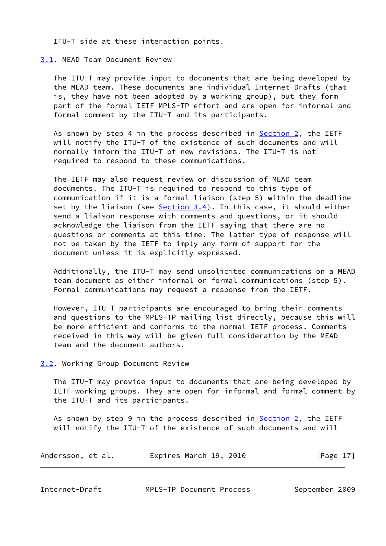ITU-T side at these interaction points.

## <span id="page-18-0"></span>[3.1](#page-18-0). MEAD Team Document Review

 The ITU-T may provide input to documents that are being developed by the MEAD team. These documents are individual Internet-Drafts (that is, they have not been adopted by a working group), but they form part of the formal IETF MPLS-TP effort and are open for informal and formal comment by the ITU-T and its participants.

As shown by step 4 in the process described in  $Section 2$ , the IETF will notify the ITU-T of the existence of such documents and will normally inform the ITU-T of new revisions. The ITU-T is not required to respond to these communications.

 The IETF may also request review or discussion of MEAD team documents. The ITU-T is required to respond to this type of communication if it is a formal liaison (step 5) within the deadline set by the liaison (see [Section 3.4](#page-21-0)). In this case, it should either send a liaison response with comments and questions, or it should acknowledge the liaison from the IETF saying that there are no questions or comments at this time. The latter type of response will not be taken by the IETF to imply any form of support for the document unless it is explicitly expressed.

 Additionally, the ITU-T may send unsolicited communications on a MEAD team document as either informal or formal communications (step 5). Formal communications may request a response from the IETF.

 However, ITU-T participants are encouraged to bring their comments and questions to the MPLS-TP mailing list directly, because this will be more efficient and conforms to the normal IETF process. Comments received in this way will be given full consideration by the MEAD team and the document authors.

# <span id="page-18-1"></span>[3.2](#page-18-1). Working Group Document Review

 The ITU-T may provide input to documents that are being developed by IETF working groups. They are open for informal and formal comment by the ITU-T and its participants.

As shown by step 9 in the process described in [Section 2,](#page-8-0) the IETF will notify the ITU-T of the existence of such documents and will

| Andersson, et al. | Expires March 19, 2010 | [Page 17] |
|-------------------|------------------------|-----------|
|                   |                        |           |

<span id="page-18-2"></span>

| Internet-Draft |  |
|----------------|--|
|----------------|--|

MPLS-TP Document Process September 2009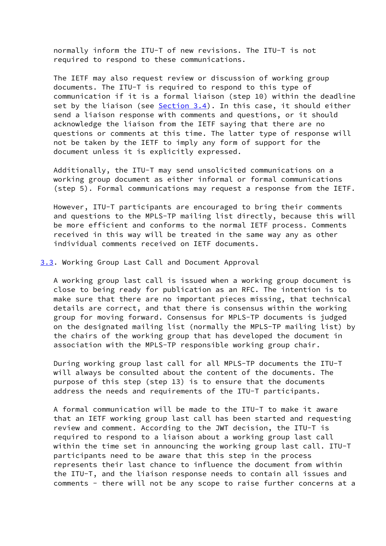normally inform the ITU-T of new revisions. The ITU-T is not required to respond to these communications.

 The IETF may also request review or discussion of working group documents. The ITU-T is required to respond to this type of communication if it is a formal liaison (step 10) within the deadline set by the liaison (see  $Section 3.4$ ). In this case, it should either send a liaison response with comments and questions, or it should acknowledge the liaison from the IETF saying that there are no questions or comments at this time. The latter type of response will not be taken by the IETF to imply any form of support for the document unless it is explicitly expressed.

 Additionally, the ITU-T may send unsolicited communications on a working group document as either informal or formal communications (step 5). Formal communications may request a response from the IETF.

 However, ITU-T participants are encouraged to bring their comments and questions to the MPLS-TP mailing list directly, because this will be more efficient and conforms to the normal IETF process. Comments received in this way will be treated in the same way any as other individual comments received on IETF documents.

<span id="page-19-0"></span>[3.3](#page-19-0). Working Group Last Call and Document Approval

 A working group last call is issued when a working group document is close to being ready for publication as an RFC. The intention is to make sure that there are no important pieces missing, that technical details are correct, and that there is consensus within the working group for moving forward. Consensus for MPLS-TP documents is judged on the designated mailing list (normally the MPLS-TP mailing list) by the chairs of the working group that has developed the document in association with the MPLS-TP responsible working group chair.

 During working group last call for all MPLS-TP documents the ITU-T will always be consulted about the content of the documents. The purpose of this step (step 13) is to ensure that the documents address the needs and requirements of the ITU-T participants.

 A formal communication will be made to the ITU-T to make it aware that an IETF working group last call has been started and requesting review and comment. According to the JWT decision, the ITU-T is required to respond to a liaison about a working group last call within the time set in announcing the working group last call. ITU-T participants need to be aware that this step in the process represents their last chance to influence the document from within the ITU-T, and the liaison response needs to contain all issues and comments - there will not be any scope to raise further concerns at a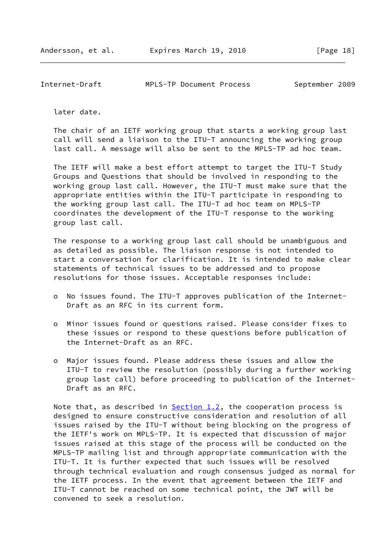<span id="page-20-0"></span>Internet-Draft MPLS-TP Document Process September 2009

later date.

 The chair of an IETF working group that starts a working group last call will send a liaison to the ITU-T announcing the working group last call. A message will also be sent to the MPLS-TP ad hoc team.

 The IETF will make a best effort attempt to target the ITU-T Study Groups and Questions that should be involved in responding to the working group last call. However, the ITU-T must make sure that the appropriate entities within the ITU-T participate in responding to the working group last call. The ITU-T ad hoc team on MPLS-TP coordinates the development of the ITU-T response to the working group last call.

 The response to a working group last call should be unambiguous and as detailed as possible. The liaison response is not intended to start a conversation for clarification. It is intended to make clear statements of technical issues to be addressed and to propose resolutions for those issues. Acceptable responses include:

- o No issues found. The ITU-T approves publication of the Internet- Draft as an RFC in its current form.
- o Minor issues found or questions raised. Please consider fixes to these issues or respond to these questions before publication of the Internet-Draft as an RFC.
- o Major issues found. Please address these issues and allow the ITU-T to review the resolution (possibly during a further working group last call) before proceeding to publication of the Internet- Draft as an RFC.

Note that, as described in  $Section 1.2$ , the cooperation process is designed to ensure constructive consideration and resolution of all issues raised by the ITU-T without being blocking on the progress of the IETF's work on MPLS-TP. It is expected that discussion of major issues raised at this stage of the process will be conducted on the MPLS-TP mailing list and through appropriate communication with the ITU-T. It is further expected that such issues will be resolved through technical evaluation and rough consensus judged as normal for the IETF process. In the event that agreement between the IETF and ITU-T cannot be reached on some technical point, the JWT will be convened to seek a resolution.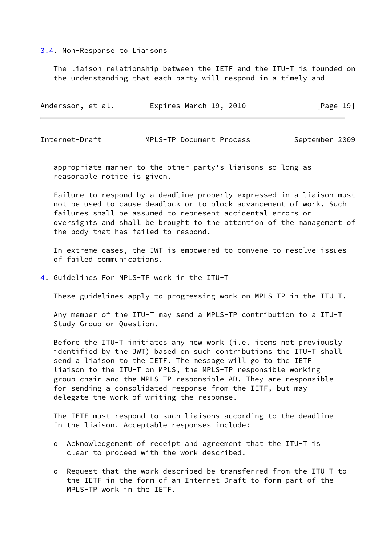### <span id="page-21-0"></span>[3.4](#page-21-0). Non-Response to Liaisons

 The liaison relationship between the IETF and the ITU-T is founded on the understanding that each party will respond in a timely and

| Expires March 19, 2010<br>[Page 19]<br>Andersson, et al. |  |  |  |
|----------------------------------------------------------|--|--|--|
|----------------------------------------------------------|--|--|--|

<span id="page-21-2"></span>Internet-Draft MPLS-TP Document Process September 2009

 appropriate manner to the other party's liaisons so long as reasonable notice is given.

 Failure to respond by a deadline properly expressed in a liaison must not be used to cause deadlock or to block advancement of work. Such failures shall be assumed to represent accidental errors or oversights and shall be brought to the attention of the management of the body that has failed to respond.

 In extreme cases, the JWT is empowered to convene to resolve issues of failed communications.

<span id="page-21-1"></span>[4](#page-21-1). Guidelines For MPLS-TP work in the ITU-T

These guidelines apply to progressing work on MPLS-TP in the ITU-T.

 Any member of the ITU-T may send a MPLS-TP contribution to a ITU-T Study Group or Question.

 Before the ITU-T initiates any new work (i.e. items not previously identified by the JWT) based on such contributions the ITU-T shall send a liaison to the IETF. The message will go to the IETF liaison to the ITU-T on MPLS, the MPLS-TP responsible working group chair and the MPLS-TP responsible AD. They are responsible for sending a consolidated response from the IETF, but may delegate the work of writing the response.

 The IETF must respond to such liaisons according to the deadline in the liaison. Acceptable responses include:

- o Acknowledgement of receipt and agreement that the ITU-T is clear to proceed with the work described.
- o Request that the work described be transferred from the ITU-T to the IETF in the form of an Internet-Draft to form part of the MPLS-TP work in the IETF.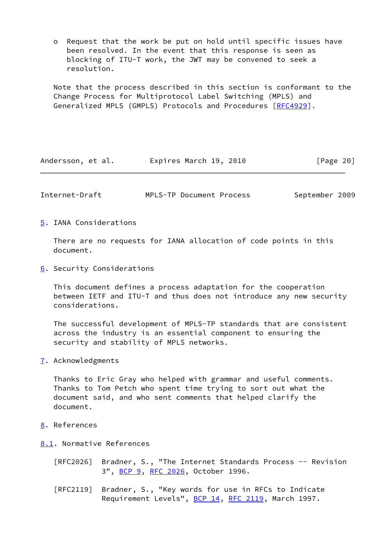o Request that the work be put on hold until specific issues have been resolved. In the event that this response is seen as blocking of ITU-T work, the JWT may be convened to seek a resolution.

 Note that the process described in this section is conformant to the Change Process for Multiprotocol Label Switching (MPLS) and Generalized MPLS (GMPLS) Protocols and Procedures [[RFC4929](https://datatracker.ietf.org/doc/pdf/rfc4929)].

| Andersson, et al. | Expires March 19, 2010 | [Page 20] |
|-------------------|------------------------|-----------|
|-------------------|------------------------|-----------|

<span id="page-22-1"></span>

|  | Internet-Draft | MPLS-TP Document Process | September 2009 |
|--|----------------|--------------------------|----------------|
|--|----------------|--------------------------|----------------|

<span id="page-22-0"></span>[5](#page-22-0). IANA Considerations

 There are no requests for IANA allocation of code points in this document.

<span id="page-22-2"></span>[6](#page-22-2). Security Considerations

 This document defines a process adaptation for the cooperation between IETF and ITU-T and thus does not introduce any new security considerations.

 The successful development of MPLS-TP standards that are consistent across the industry is an essential component to ensuring the security and stability of MPLS networks.

<span id="page-22-3"></span>[7](#page-22-3). Acknowledgments

 Thanks to Eric Gray who helped with grammar and useful comments. Thanks to Tom Petch who spent time trying to sort out what the document said, and who sent comments that helped clarify the document.

- <span id="page-22-4"></span>[8](#page-22-4). References
- <span id="page-22-5"></span>[8.1](#page-22-5). Normative References
	- [RFC2026] Bradner, S., "The Internet Standards Process -- Revision 3", [BCP 9,](https://datatracker.ietf.org/doc/pdf/bcp9) [RFC 2026](https://datatracker.ietf.org/doc/pdf/rfc2026), October 1996.
	- [RFC2119] Bradner, S., "Key words for use in RFCs to Indicate Requirement Levels", [BCP 14](https://datatracker.ietf.org/doc/pdf/bcp14), [RFC 2119](https://datatracker.ietf.org/doc/pdf/rfc2119), March 1997.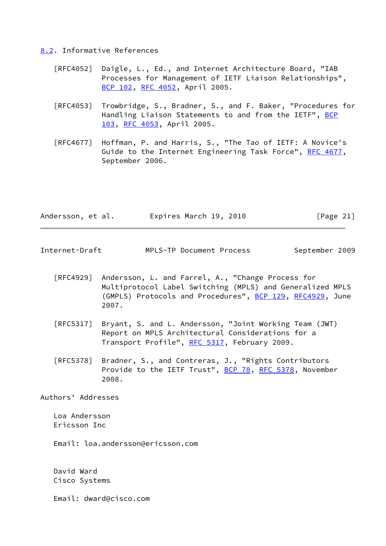#### <span id="page-23-0"></span>[8.2](#page-23-0). Informative References

- [RFC4052] Daigle, L., Ed., and Internet Architecture Board, "IAB Processes for Management of IETF Liaison Relationships", [BCP 102](https://datatracker.ietf.org/doc/pdf/bcp102), [RFC 4052,](https://datatracker.ietf.org/doc/pdf/rfc4052) April 2005.
- [RFC4053] Trowbridge, S., Bradner, S., and F. Baker, "Procedures for Handling Liaison Statements to and from the IETF", [BCP](https://datatracker.ietf.org/doc/pdf/bcp103) [103](https://datatracker.ietf.org/doc/pdf/bcp103), [RFC 4053](https://datatracker.ietf.org/doc/pdf/rfc4053), April 2005.
- [RFC4677] Hoffman, P. and Harris, S., "The Tao of IETF: A Novice's Guide to the Internet Engineering Task Force", [RFC 4677](https://datatracker.ietf.org/doc/pdf/rfc4677), September 2006.

| Andersson, et al. | Expires March 19, 2010 | [Page 21] |
|-------------------|------------------------|-----------|
|-------------------|------------------------|-----------|

- <span id="page-23-1"></span>Internet-Draft MPLS-TP Document Process September 2009
	- [RFC4929] Andersson, L. and Farrel, A., "Change Process for Multiprotocol Label Switching (MPLS) and Generalized MPLS (GMPLS) Protocols and Procedures", **BCP 129, [RFC4929](https://datatracker.ietf.org/doc/pdf/rfc4929)**, June 2007.
	- [RFC5317] Bryant, S. and L. Andersson, "Joint Working Team (JWT) Report on MPLS Architectural Considerations for a Transport Profile", [RFC 5317,](https://datatracker.ietf.org/doc/pdf/rfc5317) February 2009.
	- [RFC5378] Bradner, S., and Contreras, J., "Rights Contributors Provide to the IETF Trust", [BCP 78](https://datatracker.ietf.org/doc/pdf/bcp78), [RFC 5378,](https://datatracker.ietf.org/doc/pdf/rfc5378) November 2008.

Authors' Addresses

 Loa Andersson Ericsson Inc

Email: loa.andersson@ericsson.com

 David Ward Cisco Systems

Email: dward@cisco.com